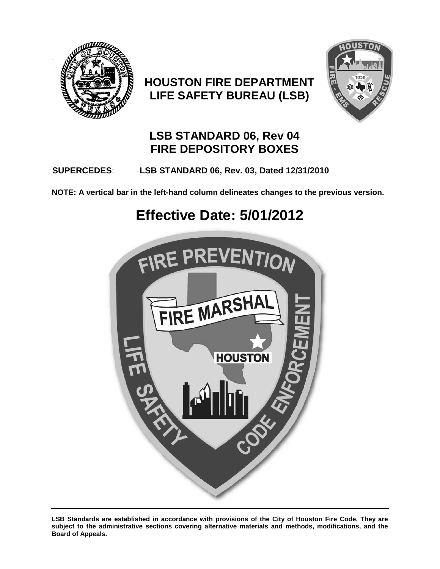

## **HOUSTON FIRE DEPARTMENT LIFE SAFETY BUREAU (LSB)**



## **LSB STANDARD 06, Rev 04 FIRE DEPOSITORY BOXES**

## **SUPERCEDES**: **LSB STANDARD 06, Rev. 03, Dated 12/31/2010**

**NOTE: A vertical bar in the left-hand column delineates changes to the previous version.**

# **Effective Date: 5/01/2012**



**LSB Standards are established in accordance with provisions of the City of Houston Fire Code. They are subject to the administrative sections covering alternative materials and methods, modifications, and the Board of Appeals.**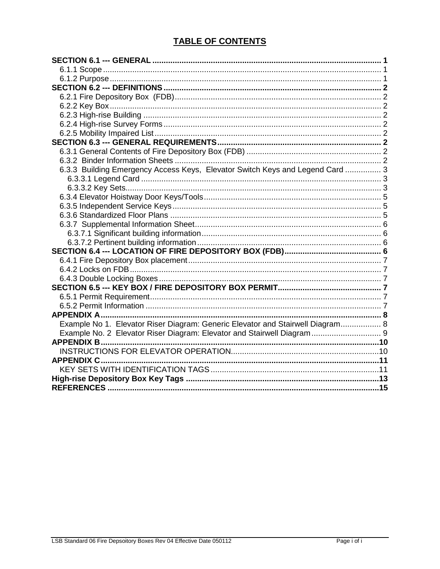## **TABLE OF CONTENTS**

| 6.3.3 Building Emergency Access Keys, Elevator Switch Keys and Legend Card  3<br>Example No 1. Elevator Riser Diagram: Generic Elevator and Stairwell Diagram 8<br>Example No. 2 Elevator Riser Diagram: Elevator and Stairwell Diagram 9 |  |
|-------------------------------------------------------------------------------------------------------------------------------------------------------------------------------------------------------------------------------------------|--|
|                                                                                                                                                                                                                                           |  |
|                                                                                                                                                                                                                                           |  |
|                                                                                                                                                                                                                                           |  |
|                                                                                                                                                                                                                                           |  |
|                                                                                                                                                                                                                                           |  |
|                                                                                                                                                                                                                                           |  |
|                                                                                                                                                                                                                                           |  |
|                                                                                                                                                                                                                                           |  |
|                                                                                                                                                                                                                                           |  |
|                                                                                                                                                                                                                                           |  |
|                                                                                                                                                                                                                                           |  |
|                                                                                                                                                                                                                                           |  |
|                                                                                                                                                                                                                                           |  |
|                                                                                                                                                                                                                                           |  |
|                                                                                                                                                                                                                                           |  |
|                                                                                                                                                                                                                                           |  |
|                                                                                                                                                                                                                                           |  |
|                                                                                                                                                                                                                                           |  |
|                                                                                                                                                                                                                                           |  |
|                                                                                                                                                                                                                                           |  |
|                                                                                                                                                                                                                                           |  |
|                                                                                                                                                                                                                                           |  |
|                                                                                                                                                                                                                                           |  |
|                                                                                                                                                                                                                                           |  |
|                                                                                                                                                                                                                                           |  |
|                                                                                                                                                                                                                                           |  |
|                                                                                                                                                                                                                                           |  |
|                                                                                                                                                                                                                                           |  |
|                                                                                                                                                                                                                                           |  |
|                                                                                                                                                                                                                                           |  |
|                                                                                                                                                                                                                                           |  |
|                                                                                                                                                                                                                                           |  |
|                                                                                                                                                                                                                                           |  |
|                                                                                                                                                                                                                                           |  |
|                                                                                                                                                                                                                                           |  |
|                                                                                                                                                                                                                                           |  |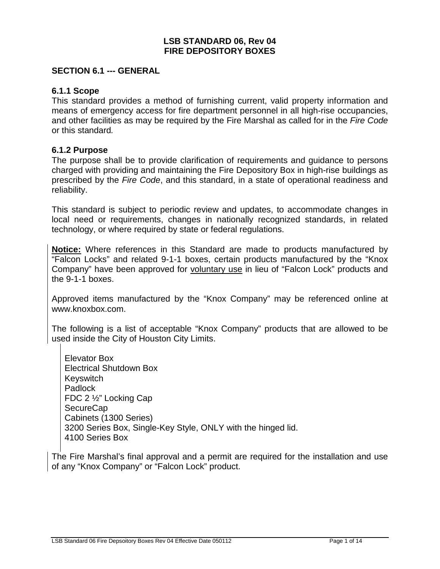#### **LSB STANDARD 06, Rev 04 FIRE DEPOSITORY BOXES**

#### <span id="page-2-0"></span>**SECTION 6.1 --- GENERAL**

#### <span id="page-2-1"></span>**6.1.1 Scope**

This standard provides a method of furnishing current, valid property information and means of emergency access for fire department personnel in all high-rise occupancies, and other facilities as may be required by the Fire Marshal as called for in the *Fire Code*  or this standard*.*

#### <span id="page-2-2"></span>**6.1.2 Purpose**

The purpose shall be to provide clarification of requirements and guidance to persons charged with providing and maintaining the Fire Depository Box in high-rise buildings as prescribed by the *Fire Code*, and this standard, in a state of operational readiness and reliability.

This standard is subject to periodic review and updates, to accommodate changes in local need or requirements, changes in nationally recognized standards, in related technology, or where required by state or federal regulations.

**Notice:** Where references in this Standard are made to products manufactured by "Falcon Locks" and related 9-1-1 boxes, certain products manufactured by the "Knox Company" have been approved for voluntary use in lieu of "Falcon Lock" products and the 9-1-1 boxes.

Approved items manufactured by the "Knox Company" may be referenced online at [www.knoxbox.com.](http://www.knoxbox.com/)

The following is a list of acceptable "Knox Company" products that are allowed to be used inside the City of Houston City Limits.

Elevator Box Electrical Shutdown Box Keyswitch Padlock FDC 2 ½" Locking Cap SecureCap Cabinets (1300 Series) 3200 Series Box, Single-Key Style, ONLY with the hinged lid. 4100 Series Box

The Fire Marshal's final approval and a permit are required for the installation and use of any "Knox Company" or "Falcon Lock" product.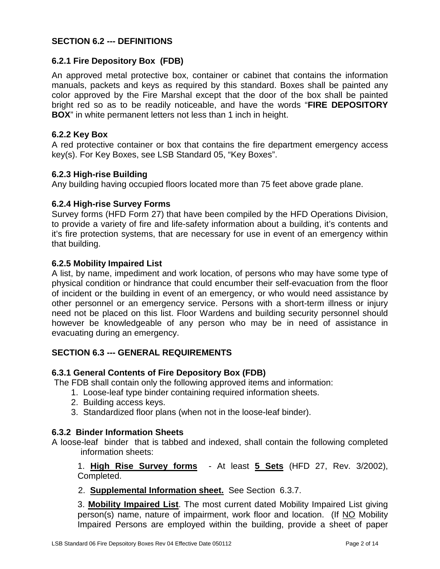#### <span id="page-3-0"></span>**SECTION 6.2 --- DEFINITIONS**

#### <span id="page-3-1"></span>**6.2.1 Fire Depository Box (FDB)**

An approved metal protective box, container or cabinet that contains the information manuals, packets and keys as required by this standard. Boxes shall be painted any color approved by the Fire Marshal except that the door of the box shall be painted bright red so as to be readily noticeable, and have the words "**FIRE DEPOSITORY BOX**" in white permanent letters not less than 1 inch in height.

#### <span id="page-3-2"></span>**6.2.2 Key Box**

A red protective container or box that contains the fire department emergency access key(s). For Key Boxes, see LSB Standard 05, "Key Boxes".

#### <span id="page-3-3"></span>**6.2.3 High-rise Building**

Any building having occupied floors located more than 75 feet above grade plane.

#### <span id="page-3-4"></span>**6.2.4 High-rise Survey Forms**

Survey forms (HFD Form 27) that have been compiled by the HFD Operations Division, to provide a variety of fire and life-safety information about a building, it's contents and it's fire protection systems, that are necessary for use in event of an emergency within that building.

#### <span id="page-3-5"></span>**6.2.5 Mobility Impaired List**

A list, by name, impediment and work location, of persons who may have some type of physical condition or hindrance that could encumber their self-evacuation from the floor of incident or the building in event of an emergency, or who would need assistance by other personnel or an emergency service. Persons with a short-term illness or injury need not be placed on this list. Floor Wardens and building security personnel should however be knowledgeable of any person who may be in need of assistance in evacuating during an emergency.

#### <span id="page-3-6"></span>**SECTION 6.3 --- GENERAL REQUIREMENTS**

#### <span id="page-3-7"></span>**6.3.1 General Contents of Fire Depository Box (FDB)**

The FDB shall contain only the following approved items and information:

- 1. Loose-leaf type binder containing required information sheets.
- 2. Building access keys.
- 3. Standardized floor plans (when not in the loose-leaf binder).

#### <span id="page-3-8"></span>**6.3.2 Binder Information Sheets**

A loose-leaf binder that is tabbed and indexed, shall contain the following completed information sheets:

1. **High Rise Survey forms** - At least **5 Sets** (HFD 27, Rev. 3/2002), Completed.

2. **Supplemental Information sheet.** See Section 6.3.7.

3. **Mobility Impaired List**. The most current dated Mobility Impaired List giving person(s) name, nature of impairment, work floor and location. (If NO Mobility Impaired Persons are employed within the building, provide a sheet of paper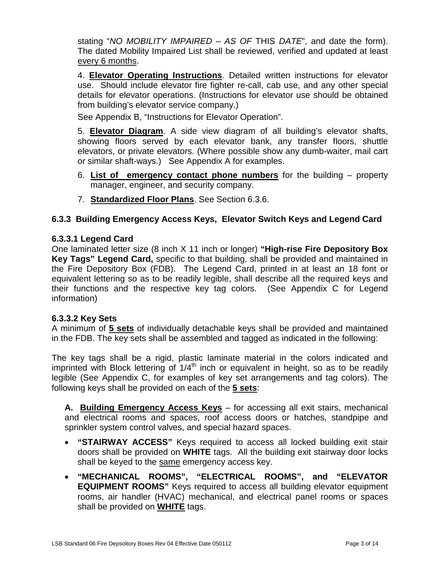stating "*NO MOBILITY IMPAIRED – AS OF* THIS *DATE*", and date the form). The dated Mobility Impaired List shall be reviewed, verified and updated at least every 6 months.

4. **Elevator Operating Instructions**. Detailed written instructions for elevator use. Should include elevator fire fighter re-call, cab use, and any other special details for elevator operations. (Instructions for elevator use should be obtained from building's elevator service company.)

See Appendix B, "Instructions for Elevator Operation".

5. **Elevator Diagram**. A side view diagram of all building's elevator shafts, showing floors served by each elevator bank, any transfer floors, shuttle elevators, or private elevators. (Where possible show any dumb-waiter, mail cart or similar shaft-ways.) See Appendix A for examples.

- 6. **List of emergency contact phone numbers** for the building property manager, engineer, and security company.
- 7. **Standardized Floor Plans**. See Section 6.3.6.

#### <span id="page-4-0"></span>**6.3.3 Building Emergency Access Keys, Elevator Switch Keys and Legend Card**

#### <span id="page-4-1"></span>**6.3.3.1 Legend Card**

One laminated letter size (8 inch X 11 inch or longer) **"High-rise Fire Depository Box Key Tags" Legend Card,** specific to that building, shall be provided and maintained in the Fire Depository Box (FDB). The Legend Card, printed in at least an 18 font or equivalent lettering so as to be readily legible, shall describe all the required keys and their functions and the respective key tag colors. (See Appendix C for Legend information)

#### <span id="page-4-2"></span>**6.3.3.2 Key Sets**

A minimum of **5 sets** of individually detachable keys shall be provided and maintained in the FDB. The key sets shall be assembled and tagged as indicated in the following:

The key tags shall be a rigid, plastic laminate material in the colors indicated and imprinted with Block lettering of  $1/4<sup>th</sup>$  inch or equivalent in height, so as to be readily legible (See Appendix C, for examples of key set arrangements and tag colors). The following keys shall be provided on each of the **5 sets**:

**A. Building Emergency Access Keys** – for accessing all exit stairs, mechanical and electrical rooms and spaces, roof access doors or hatches, standpipe and sprinkler system control valves, and special hazard spaces.

- **"STAIRWAY ACCESS"** Keys required to access all locked building exit stair doors shall be provided on **WHITE** tags. All the building exit stairway door locks shall be keyed to the same emergency access key.
- **"MECHANICAL ROOMS", "ELECTRICAL ROOMS", and "ELEVATOR EQUIPMENT ROOMS"** Keys required to access all building elevator equipment rooms, air handler (HVAC) mechanical, and electrical panel rooms or spaces shall be provided on **WHITE** tags.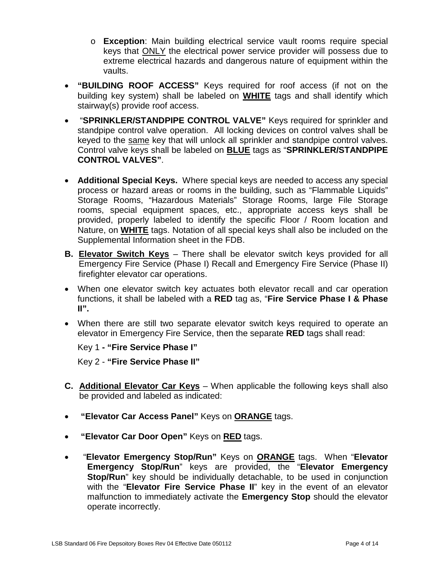- o **Exception**: Main building electrical service vault rooms require special keys that ONLY the electrical power service provider will possess due to extreme electrical hazards and dangerous nature of equipment within the vaults.
- **"BUILDING ROOF ACCESS"** Keys required for roof access (if not on the building key system) shall be labeled on **WHITE** tags and shall identify which stairway(s) provide roof access.
- "**SPRINKLER/STANDPIPE CONTROL VALVE"** Keys required for sprinkler and standpipe control valve operation. All locking devices on control valves shall be keyed to the same key that will unlock all sprinkler and standpipe control valves. Control valve keys shall be labeled on **BLUE** tags as "**SPRINKLER/STANDPIPE CONTROL VALVES"**.
- **Additional Special Keys.** Where special keys are needed to access any special process or hazard areas or rooms in the building, such as "Flammable Liquids" Storage Rooms, "Hazardous Materials" Storage Rooms, large File Storage rooms, special equipment spaces, etc., appropriate access keys shall be provided, properly labeled to identify the specific Floor / Room location and Nature, on **WHITE** tags. Notation of all special keys shall also be included on the Supplemental Information sheet in the FDB.
- **B. Elevator Switch Keys** There shall be elevator switch keys provided for all Emergency Fire Service (Phase I) Recall and Emergency Fire Service (Phase II) firefighter elevator car operations.
- When one elevator switch key actuates both elevator recall and car operation functions, it shall be labeled with a **RED** tag as, "**Fire Service Phase I & Phase II".**
- When there are still two separate elevator switch keys required to operate an elevator in Emergency Fire Service, then the separate **RED** tags shall read:

Key 1 **- "Fire Service Phase I"**

Key 2 - **"Fire Service Phase II"**

- **C. Additional Elevator Car Keys** When applicable the following keys shall also be provided and labeled as indicated:
- **"Elevator Car Access Panel"** Keys on **ORANGE** tags.
- **"Elevator Car Door Open"** Keys on **RED** tags.
- "**Elevator Emergency Stop/Run"** Keys on **ORANGE** tags. When "**Elevator Emergency Stop/Run**" keys are provided, the "**Elevator Emergency Stop/Run**" key should be individually detachable, to be used in conjunction with the "**Elevator Fire Service Phase II**" key in the event of an elevator malfunction to immediately activate the **Emergency Stop** should the elevator operate incorrectly.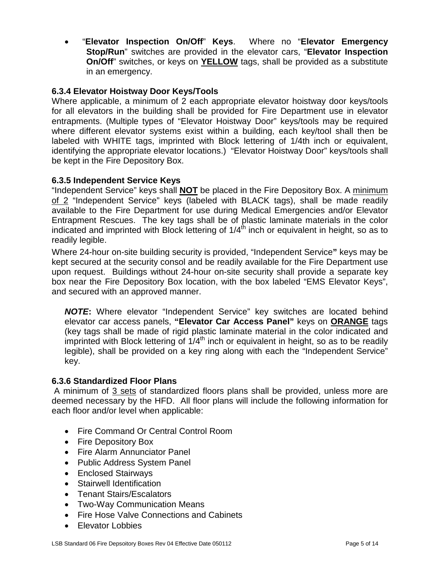• "**Elevator Inspection On/Off**" **Keys**.Where no "**Elevator Emergency Stop/Run**" switches are provided in the elevator cars, "**Elevator Inspection On/Off**" switches, or keys on **YELLOW** tags, shall be provided as a substitute in an emergency.

#### <span id="page-6-0"></span>**6.3.4 Elevator Hoistway Door Keys/Tools**

Where applicable, a minimum of 2 each appropriate elevator hoistway door keys/tools for all elevators in the building shall be provided for Fire Department use in elevator entrapments. (Multiple types of "Elevator Hoistway Door" keys/tools may be required where different elevator systems exist within a building, each key/tool shall then be labeled with WHITE tags, imprinted with Block lettering of 1/4th inch or equivalent, identifying the appropriate elevator locations.) "Elevator Hoistway Door" keys/tools shall be kept in the Fire Depository Box.

#### <span id="page-6-1"></span>**6.3.5 Independent Service Keys**

"Independent Service" keys shall **NOT** be placed in the Fire Depository Box. A minimum of 2 "Independent Service" keys (labeled with BLACK tags), shall be made readily available to the Fire Department for use during Medical Emergencies and/or Elevator Entrapment Rescues. The key tags shall be of plastic laminate materials in the color indicated and imprinted with Block lettering of  $1/4<sup>th</sup>$  inch or equivalent in height, so as to readily legible.

Where 24-hour on-site building security is provided, "Independent Service**"** keys may be kept secured at the security consol and be readily available for the Fire Department use upon request. Buildings without 24-hour on-site security shall provide a separate key box near the Fire Depository Box location, with the box labeled "EMS Elevator Keys", and secured with an approved manner.

*NOTE***:** Where elevator "Independent Service" key switches are located behind elevator car access panels, **"Elevator Car Access Panel"** keys on **ORANGE** tags (key tags shall be made of rigid plastic laminate material in the color indicated and imprinted with Block lettering of  $1/4<sup>th</sup>$  inch or equivalent in height, so as to be readily legible), shall be provided on a key ring along with each the "Independent Service" key.

#### <span id="page-6-2"></span>**6.3.6 Standardized Floor Plans**

A minimum of 3 sets of standardized floors plans shall be provided, unless more are deemed necessary by the HFD. All floor plans will include the following information for each floor and/or level when applicable:

- Fire Command Or Central Control Room
- Fire Depository Box
- Fire Alarm Annunciator Panel
- Public Address System Panel
- Enclosed Stairways
- Stairwell Identification
- Tenant Stairs/Escalators
- Two-Way Communication Means
- Fire Hose Valve Connections and Cabinets
- Elevator Lobbies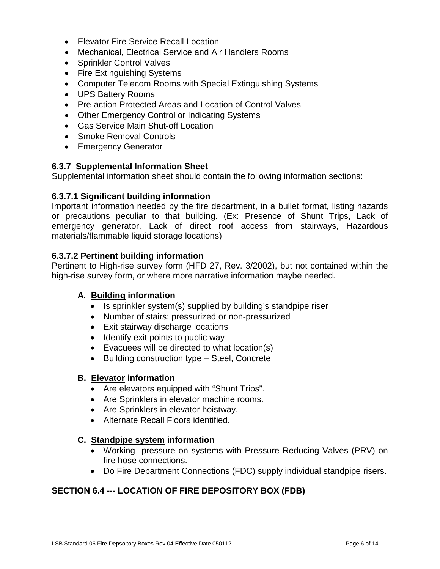- Elevator Fire Service Recall Location
- Mechanical, Electrical Service and Air Handlers Rooms
- Sprinkler Control Valves
- Fire Extinguishing Systems
- Computer Telecom Rooms with Special Extinguishing Systems
- UPS Battery Rooms
- Pre-action Protected Areas and Location of Control Valves
- Other Emergency Control or Indicating Systems
- Gas Service Main Shut-off Location
- Smoke Removal Controls
- Emergency Generator

#### <span id="page-7-0"></span>**6.3.7 Supplemental Information Sheet**

Supplemental information sheet should contain the following information sections:

#### <span id="page-7-1"></span>**6.3.7.1 Significant building information**

Important information needed by the fire department, in a bullet format, listing hazards or precautions peculiar to that building. (Ex: Presence of Shunt Trips, Lack of emergency generator, Lack of direct roof access from stairways, Hazardous materials/flammable liquid storage locations)

#### <span id="page-7-2"></span>**6.3.7.2 Pertinent building information**

Pertinent to High-rise survey form (HFD 27, Rev. 3/2002), but not contained within the high-rise survey form, or where more narrative information maybe needed.

#### **A. Building information**

- Is sprinkler system(s) supplied by building's standpipe riser
- Number of stairs: pressurized or non-pressurized
- Exit stairway discharge locations
- Identify exit points to public way
- Evacuees will be directed to what location(s)
- Building construction type Steel, Concrete

#### **B. Elevator information**

- Are elevators equipped with "Shunt Trips".
- Are Sprinklers in elevator machine rooms.
- Are Sprinklers in elevator hoistway.
- Alternate Recall Floors identified.

#### **C. Standpipe system information**

- Working pressure on systems with Pressure Reducing Valves (PRV) on fire hose connections.
- Do Fire Department Connections (FDC) supply individual standpipe risers.

#### <span id="page-7-3"></span>**SECTION 6.4 --- LOCATION OF FIRE DEPOSITORY BOX (FDB)**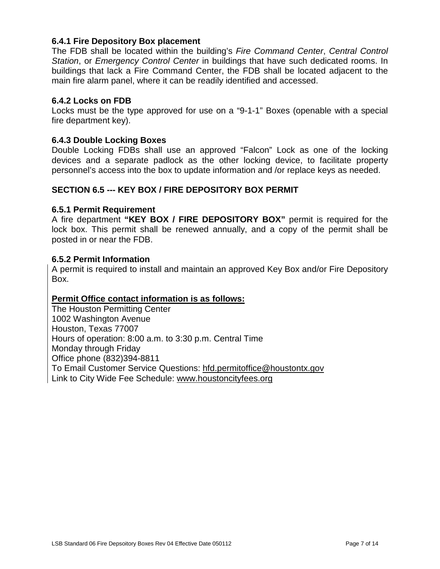#### <span id="page-8-0"></span>**6.4.1 Fire Depository Box placement**

The FDB shall be located within the building's *Fire Command Center*, *Central Control Station*, or *Emergency Control Center* in buildings that have such dedicated rooms. In buildings that lack a Fire Command Center, the FDB shall be located adjacent to the main fire alarm panel, where it can be readily identified and accessed.

#### <span id="page-8-1"></span>**6.4.2 Locks on FDB**

Locks must be the type approved for use on a "9-1-1" Boxes (openable with a special fire department key).

#### <span id="page-8-2"></span>**6.4.3 Double Locking Boxes**

Double Locking FDBs shall use an approved "Falcon" Lock as one of the locking devices and a separate padlock as the other locking device, to facilitate property personnel's access into the box to update information and /or replace keys as needed.

#### <span id="page-8-3"></span>**SECTION 6.5 --- KEY BOX / FIRE DEPOSITORY BOX PERMIT**

#### <span id="page-8-4"></span>**6.5.1 Permit Requirement**

A fire department **"KEY BOX / FIRE DEPOSITORY BOX"** permit is required for the lock box. This permit shall be renewed annually, and a copy of the permit shall be posted in or near the FDB.

#### <span id="page-8-5"></span>**6.5.2 Permit Information**

A permit is required to install and maintain an approved Key Box and/or Fire Depository Box.

#### **Permit Office contact information is as follows:**

The Houston Permitting Center 1002 Washington Avenue Houston, Texas 77007 Hours of operation: 8:00 a.m. to 3:30 p.m. Central Time Monday through Friday Office phone (832)394-8811 To Email Customer Service Questions: [hfd.permitoffice@houstontx.gov](mailto:hfd.permitoffice@houstontx.gov) Link to City Wide Fee Schedule: [www.houstoncityfees.org](http://www.houstoncityfees.org/)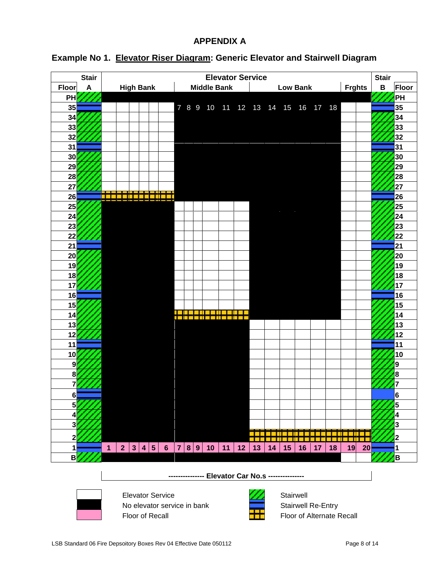#### **APPENDIX A**

| <b>Stair</b>            | <b>Elevator Service</b>                          |                             |  |                                  |    | <b>Stair</b>    |    |    |    |                           |    |    |               |              |           |
|-------------------------|--------------------------------------------------|-----------------------------|--|----------------------------------|----|-----------------|----|----|----|---------------------------|----|----|---------------|--------------|-----------|
| <b>Floor</b><br>A       | <b>High Bank</b>                                 |                             |  | <b>Middle Bank</b>               |    |                 |    |    |    | <b>Low Bank</b>           |    |    | <b>Frghts</b> | $\, {\bf B}$ | Floor     |
| PH                      |                                                  |                             |  |                                  |    |                 |    |    |    |                           |    |    |               |              | <b>PH</b> |
| 35                      |                                                  |                             |  | 7 8 9 10 11 12 13 14 15 16 17 18 |    |                 |    |    |    |                           |    |    |               |              | 35        |
| 34                      |                                                  |                             |  |                                  |    |                 |    |    |    |                           |    |    |               |              | 34        |
| 33                      |                                                  |                             |  |                                  |    |                 |    |    |    |                           |    |    |               |              | 33        |
| 32                      |                                                  |                             |  |                                  |    |                 |    |    |    |                           |    |    |               |              | 32        |
| 31                      |                                                  |                             |  |                                  |    |                 |    |    |    |                           |    |    |               |              | 31        |
| 30                      |                                                  |                             |  |                                  |    |                 |    |    |    |                           |    |    |               |              | 30        |
| 29                      |                                                  |                             |  |                                  |    |                 |    |    |    |                           |    |    |               |              | 29        |
| 28                      |                                                  |                             |  |                                  |    |                 |    |    |    |                           |    |    |               |              | 28        |
| 27                      |                                                  |                             |  |                                  |    |                 |    |    |    |                           |    |    |               |              | 27        |
| 26                      |                                                  |                             |  |                                  |    |                 |    |    |    |                           |    |    |               |              | 26        |
| 25                      |                                                  |                             |  |                                  |    |                 |    |    |    |                           |    |    |               |              | 25        |
| 24                      |                                                  |                             |  |                                  |    |                 |    |    |    |                           |    |    |               |              | 24        |
| 23                      |                                                  |                             |  |                                  |    |                 |    |    |    |                           |    |    |               |              | 23        |
| 22                      |                                                  |                             |  |                                  |    |                 |    |    |    |                           |    |    |               |              | 22        |
| 21                      |                                                  |                             |  |                                  |    |                 |    |    |    |                           |    |    |               |              | 21        |
| 20                      |                                                  |                             |  |                                  |    |                 |    |    |    |                           |    |    |               |              | 20        |
| 19                      |                                                  |                             |  |                                  |    |                 |    |    |    |                           |    |    |               |              | 19        |
| 18                      |                                                  |                             |  |                                  |    |                 |    |    |    |                           |    |    |               |              | 18        |
| 17                      |                                                  |                             |  |                                  |    |                 |    |    |    |                           |    |    |               |              | 17        |
| 16                      |                                                  |                             |  |                                  |    |                 |    |    |    |                           |    |    |               |              | 16        |
| 15                      |                                                  |                             |  |                                  |    |                 |    |    |    |                           |    |    |               |              | 15        |
| 14                      |                                                  | <b>Billian</b>              |  |                                  |    |                 |    |    |    |                           |    |    |               |              | 14        |
| 13                      |                                                  |                             |  |                                  |    |                 |    |    |    |                           |    |    |               |              | 13        |
| 12                      |                                                  |                             |  |                                  |    |                 |    |    |    |                           |    |    |               |              | 12        |
| 11                      |                                                  |                             |  |                                  |    |                 |    |    |    |                           |    |    |               |              | 11        |
| 10                      |                                                  |                             |  |                                  |    |                 |    |    |    |                           |    |    |               |              | 10        |
| 9                       |                                                  |                             |  |                                  |    |                 |    |    |    |                           |    |    |               |              | 9         |
| 8                       |                                                  |                             |  |                                  |    |                 |    |    |    |                           |    |    |               |              | 8         |
|                         |                                                  |                             |  |                                  |    |                 |    |    |    |                           |    |    |               |              |           |
| 6                       |                                                  |                             |  |                                  |    |                 |    |    |    |                           |    |    |               |              | 6         |
| 5 <sub>l</sub>          |                                                  |                             |  |                                  |    |                 |    |    |    |                           |    |    |               |              | 5         |
| 4                       |                                                  |                             |  |                                  |    |                 |    |    |    |                           |    |    |               |              | 4         |
| $\overline{\mathbf{3}}$ |                                                  |                             |  |                                  |    |                 |    |    |    |                           |    |    |               |              | 3         |
| 2                       |                                                  |                             |  |                                  |    |                 |    |    |    |                           |    |    |               |              | 2         |
| $\mathbf{1}$            | $\mathbf{1}$                                     | 2 3 4 5 6 7 8 9 10          |  |                                  | 11 | 12 <sub>2</sub> | 13 | 14 | 15 | 16                        | 17 | 18 | 20<br>19      |              | 1         |
| B                       |                                                  |                             |  |                                  |    |                 |    |    |    |                           |    |    |               |              | B         |
|                         |                                                  |                             |  |                                  |    |                 |    |    |    |                           |    |    |               |              |           |
|                         | -------------- Elevator Car No.s --------------- |                             |  |                                  |    |                 |    |    |    |                           |    |    |               |              |           |
|                         |                                                  |                             |  |                                  |    |                 |    |    |    |                           |    |    |               |              |           |
|                         |                                                  | <b>Elevator Service</b>     |  |                                  |    |                 |    |    |    | Stairwell                 |    |    |               |              |           |
|                         |                                                  | No elevator service in bank |  |                                  |    |                 |    |    |    | <b>Stairwell Re-Entry</b> |    |    |               |              |           |

### <span id="page-9-1"></span><span id="page-9-0"></span>**Example No 1. Elevator Riser Diagram: Generic Elevator and Stairwell Diagram**

LSB Standard 06 Fire Depsoitory Boxes Rev 04 Effective Date 050112 Page 8 of 14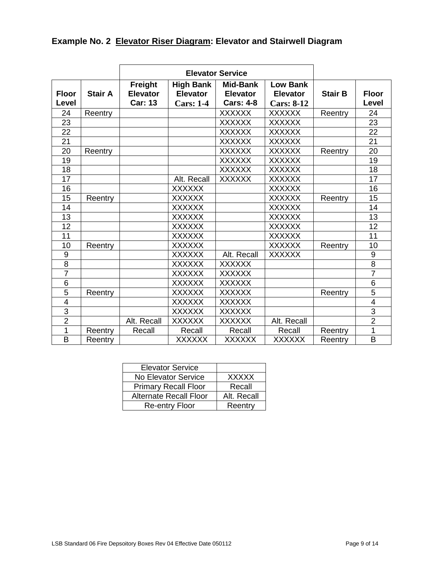<span id="page-10-0"></span>

|  |  |  |  | <b>Example No. 2 Elevator Riser Diagram: Elevator and Stairwell Diagram</b> |
|--|--|--|--|-----------------------------------------------------------------------------|
|--|--|--|--|-----------------------------------------------------------------------------|

| <b>Floor</b><br>Level | <b>Stair A</b> | Freight<br><b>Elevator</b><br><b>Car: 13</b> | <b>High Bank</b><br><b>Elevator</b><br><b>Cars: 1-4</b> | Mid-Bank<br><b>Elevator</b><br><b>Cars: 4-8</b> | <b>Low Bank</b><br><b>Elevator</b><br><b>Cars: 8-12</b> | <b>Stair B</b> | <b>Floor</b><br>Level |
|-----------------------|----------------|----------------------------------------------|---------------------------------------------------------|-------------------------------------------------|---------------------------------------------------------|----------------|-----------------------|
| 24                    | Reentry        |                                              |                                                         | <b>XXXXXX</b>                                   | <b>XXXXXX</b>                                           | Reentry        | 24                    |
| 23                    |                |                                              |                                                         | <b>XXXXXX</b>                                   | <b>XXXXXX</b>                                           |                | 23                    |
| 22                    |                |                                              |                                                         | <b>XXXXXX</b>                                   | <b>XXXXXX</b>                                           |                | 22                    |
| 21                    |                |                                              |                                                         | <b>XXXXXX</b>                                   | <b>XXXXXX</b>                                           |                | 21                    |
| 20                    | Reentry        |                                              |                                                         | <b>XXXXXX</b>                                   | <b>XXXXXX</b>                                           | Reentry        | 20                    |
| 19                    |                |                                              |                                                         | <b>XXXXXX</b>                                   | <b>XXXXXX</b>                                           |                | 19                    |
| 18                    |                |                                              |                                                         | <b>XXXXXX</b>                                   | <b>XXXXXX</b>                                           |                | 18                    |
| 17                    |                |                                              | Alt. Recall                                             | <b>XXXXXX</b>                                   | <b>XXXXXX</b>                                           |                | 17                    |
| 16                    |                |                                              | <b>XXXXXX</b>                                           |                                                 | <b>XXXXXX</b>                                           |                | 16                    |
| 15                    | Reentry        |                                              | <b>XXXXXX</b>                                           |                                                 | <b>XXXXXX</b>                                           | Reentry        | 15                    |
| 14                    |                |                                              | <b>XXXXXX</b>                                           |                                                 | <b>XXXXXX</b>                                           |                | 14                    |
| 13                    |                |                                              | <b>XXXXXX</b>                                           |                                                 | <b>XXXXXX</b>                                           |                | 13                    |
| 12                    |                |                                              | <b>XXXXXX</b>                                           |                                                 | <b>XXXXXX</b>                                           |                | 12                    |
| 11                    |                |                                              | <b>XXXXXX</b>                                           |                                                 | <b>XXXXXX</b>                                           |                | 11                    |
| 10                    | Reentry        |                                              | <b>XXXXXX</b>                                           |                                                 | <b>XXXXXX</b>                                           | Reentry        | 10                    |
| 9                     |                |                                              | <b>XXXXXX</b>                                           | Alt. Recall                                     | <b>XXXXXX</b>                                           |                | 9                     |
| 8                     |                |                                              | <b>XXXXXX</b>                                           | <b>XXXXXX</b>                                   |                                                         |                | 8                     |
| $\overline{7}$        |                |                                              | <b>XXXXXX</b>                                           | <b>XXXXXX</b>                                   |                                                         |                | $\overline{7}$        |
| 6                     |                |                                              | <b>XXXXXX</b>                                           | <b>XXXXXX</b>                                   |                                                         |                | 6                     |
| 5                     | Reentry        |                                              | <b>XXXXXX</b>                                           | <b>XXXXXX</b>                                   |                                                         | Reentry        | 5                     |
| 4                     |                |                                              | <b>XXXXXX</b>                                           | <b>XXXXXX</b>                                   |                                                         |                | $\overline{4}$        |
| $\overline{3}$        |                |                                              | <b>XXXXXX</b>                                           | <b>XXXXXX</b>                                   |                                                         |                | 3                     |
| $\overline{2}$        |                | Alt. Recall                                  | <b>XXXXXX</b>                                           | <b>XXXXXX</b>                                   | Alt. Recall                                             |                | $\overline{2}$        |
| 1                     | Reentry        | Recall                                       | Recall                                                  | Recall                                          | Recall                                                  | Reentry        | 1                     |
| B                     | Reentry        |                                              | <b>XXXXXX</b>                                           | <b>XXXXXX</b>                                   | <b>XXXXXX</b>                                           | Reentry        | B                     |

| <b>Elevator Service</b>       |              |
|-------------------------------|--------------|
| No Elevator Service           | <b>XXXXX</b> |
| <b>Primary Recall Floor</b>   | Recall       |
| <b>Alternate Recall Floor</b> | Alt. Recall  |
| <b>Re-entry Floor</b>         | Reentry      |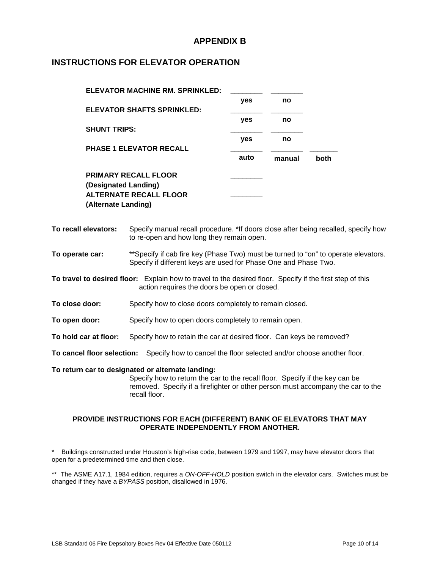#### **APPENDIX B**

#### <span id="page-11-1"></span><span id="page-11-0"></span>**INSTRUCTIONS FOR ELEVATOR OPERATION**

| ELEVATOR MACHINE RM. SPRINKLED:   |      |        |      |
|-----------------------------------|------|--------|------|
|                                   | yes  | no     |      |
| <b>ELEVATOR SHAFTS SPRINKLED:</b> |      |        |      |
|                                   | yes  | no     |      |
| <b>SHUNT TRIPS:</b>               |      |        |      |
|                                   | yes  | no     |      |
| <b>PHASE 1 ELEVATOR RECALL</b>    |      |        |      |
|                                   | auto | manual | both |
| <b>PRIMARY RECALL FLOOR</b>       |      |        |      |
| (Designated Landing)              |      |        |      |
| <b>ALTERNATE RECALL FLOOR</b>     |      |        |      |
| (Alternate Landing)               |      |        |      |
|                                   |      |        |      |

**To recall elevators:** Specify manual recall procedure. \*If doors close after being recalled, specify how to re-open and how long they remain open.

**To operate car:** \*\*Specify if cab fire key (Phase Two) must be turned to "on" to operate elevators. Specify if different keys are used for Phase One and Phase Two.

**To travel to desired floor:** Explain how to travel to the desired floor. Specify if the first step of this action requires the doors be open or closed.

**To close door:** Specify how to close doors completely to remain closed.

**To open door:** Specify how to open doors completely to remain open.

**To hold car at floor:** Specify how to retain the car at desired floor. Can keys be removed?

**To cancel floor selection:** Specify how to cancel the floor selected and/or choose another floor.

**To return car to designated or alternate landing:**

Specify how to return the car to the recall floor. Specify if the key can be removed. Specify if a firefighter or other person must accompany the car to the recall floor.

#### **PROVIDE INSTRUCTIONS FOR EACH (DIFFERENT) BANK OF ELEVATORS THAT MAY OPERATE INDEPENDENTLY FROM ANOTHER.**

Buildings constructed under Houston's high-rise code, between 1979 and 1997, may have elevator doors that open for a predetermined time and then close.

\*\* The ASME A17.1, 1984 edition, requires a *ON-OFF-HOLD* position switch in the elevator cars. Switches must be changed if they have a *BYPASS* position, disallowed in 1976.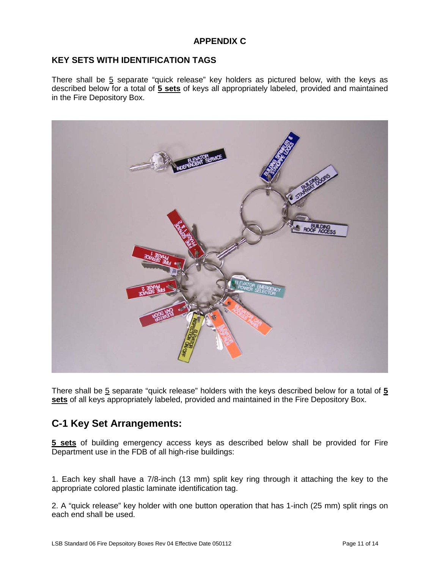#### **APPENDIX C**

#### <span id="page-12-1"></span><span id="page-12-0"></span>**KEY SETS WITH IDENTIFICATION TAGS**

There shall be  $5$  separate "quick release" key holders as pictured below, with the keys as described below for a total of **5 sets** of keys all appropriately labeled, provided and maintained in the Fire Depository Box.



There shall be 5 separate "quick release" holders with the keys described below for a total of **5 sets** of all keys appropriately labeled, provided and maintained in the Fire Depository Box.

## **C-1 Key Set Arrangements:**

**5 sets** of building emergency access keys as described below shall be provided for Fire Department use in the FDB of all high-rise buildings:

1. Each key shall have a 7/8-inch (13 mm) split key ring through it attaching the key to the appropriate colored plastic laminate identification tag.

2. A "quick release" key holder with one button operation that has 1-inch (25 mm) split rings on each end shall be used.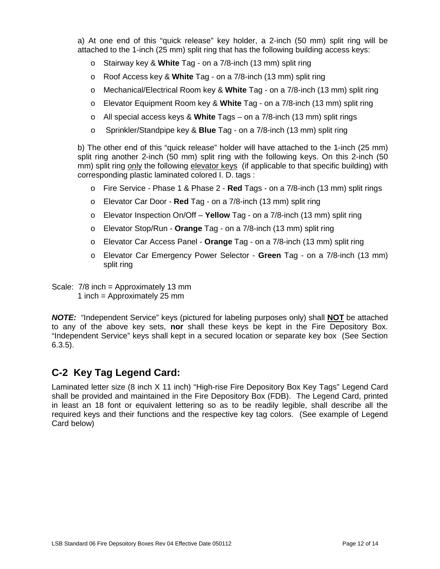a) At one end of this "quick release" key holder, a 2-inch (50 mm) split ring will be attached to the 1-inch (25 mm) split ring that has the following building access keys:

- o Stairway key & **White** Tag on a 7/8-inch (13 mm) split ring
- o Roof Access key & **White** Tag on a 7/8-inch (13 mm) split ring
- o Mechanical/Electrical Room key & **White** Tag on a 7/8-inch (13 mm) split ring
- o Elevator Equipment Room key & **White** Tag on a 7/8-inch (13 mm) split ring
- o All special access keys & **White** Tags on a 7/8-inch (13 mm) split rings
- o Sprinkler/Standpipe key & **Blue** Tag on a 7/8-inch (13 mm) split ring

b) The other end of this "quick release" holder will have attached to the 1-inch (25 mm) split ring another 2-inch (50 mm) split ring with the following keys. On this 2-inch (50 mm) split ring only the following elevator keys (if applicable to that specific building) with corresponding plastic laminated colored I. D. tags :

- o Fire Service Phase 1 & Phase 2 **Red** Tags on a 7/8-inch (13 mm) split rings
- o Elevator Car Door **Red** Tag on a 7/8-inch (13 mm) split ring
- o Elevator Inspection On/Off **Yellow** Tag on a 7/8-inch (13 mm) split ring
- o Elevator Stop/Run **Orange** Tag on a 7/8-inch (13 mm) split ring
- o Elevator Car Access Panel **Orange** Tag on a 7/8-inch (13 mm) split ring
- o Elevator Car Emergency Power Selector **Green** Tag on a 7/8-inch (13 mm) split ring

Scale: 7/8 inch = Approximately 13 mm 1 inch = Approximately 25 mm

*NOTE:*"Independent Service" keys (pictured for labeling purposes only) shall **NOT** be attached to any of the above key sets, **nor** shall these keys be kept in the Fire Depository Box. "Independent Service" keys shall kept in a secured location or separate key box (See Section 6.3.5).

## **C-2 Key Tag Legend Card:**

Laminated letter size (8 inch X 11 inch) "High-rise Fire Depository Box Key Tags" Legend Card shall be provided and maintained in the Fire Depository Box (FDB). The Legend Card, printed in least an 18 font or equivalent lettering so as to be readily legible, shall describe all the required keys and their functions and the respective key tag colors. (See example of Legend Card below)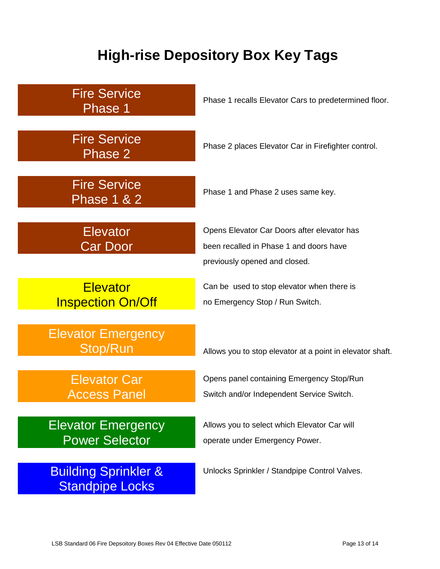# **High-rise Depository Box Key Tags**

<span id="page-14-0"></span>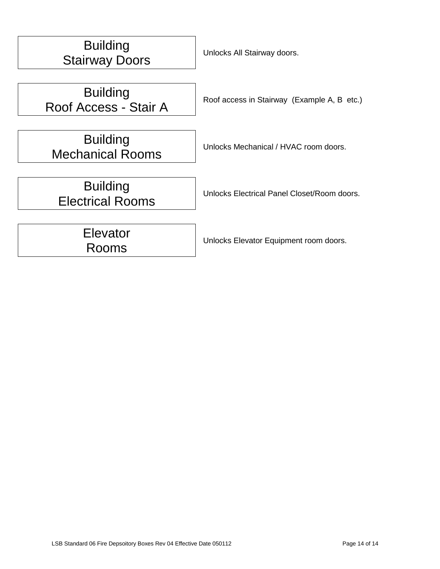| <b>Building</b><br><b>Stairway Doors</b>   | Unlocks All Stairway doors.                 |
|--------------------------------------------|---------------------------------------------|
| <b>Building</b>                            | Roof access in Stairway (Example A, B etc.) |
| Roof Access - Stair A                      |                                             |
| <b>Building</b><br><b>Mechanical Rooms</b> | Unlocks Mechanical / HVAC room doors.       |
| <b>Building</b><br><b>Electrical Rooms</b> | Unlocks Electrical Panel Closet/Room doors. |
| Elevator<br>Rooms                          | Unlocks Elevator Equipment room doors.      |